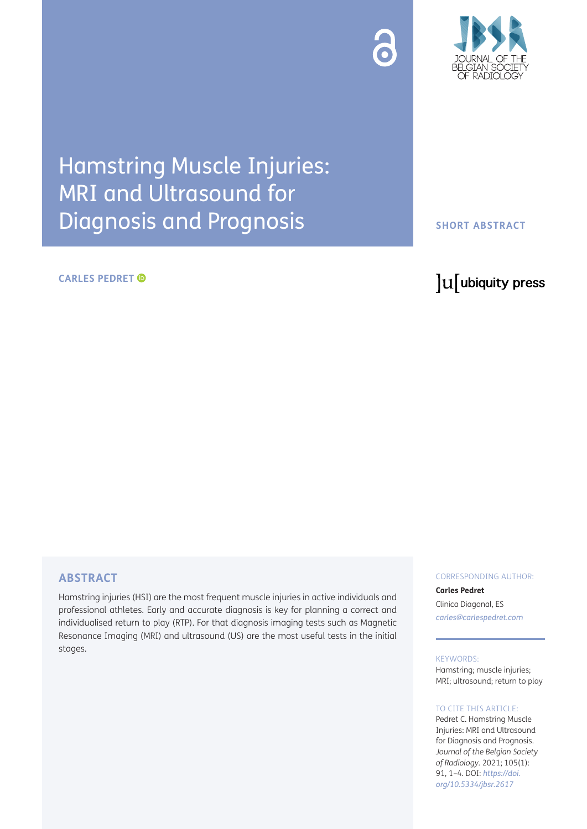



## Hamstring Muscle Injuries: MRI and Ultrasound for Diagnosis and Prognosis

#### **CARLES PEDRET**

#### **SHORT ABSTRACT**

### lu ubiquity press

#### **ABSTRACT**

Hamstring injuries (HSI) are the most frequent muscle injuries in active individuals and professional athletes. Early and accurate diagnosis is key for planning a correct and individualised return to play (RTP). For that diagnosis imaging tests such as Magnetic Resonance Imaging (MRI) and ultrasound (US) are the most useful tests in the initial stages.

#### CORRESPONDING AUTHOR:

**Carles Pedret**  Clinica Diagonal, ES *[carles@carlespedret.com](mailto:carles@carlespedret.com)*

#### KEYWORDS:

Hamstring; muscle injuries; MRI; ultrasound; return to play

#### TO CITE THIS ARTICLE:

Pedret C. Hamstring Muscle Injuries: MRI and Ultrasound for Diagnosis and Prognosis. *Journal of the Belgian Society of Radiology.* 2021; 105(1): 91, 1–4. DOI: *[https://doi.](https://doi.org/10.5334/jbsr.2617) [org/10.5334/jbsr.2617](https://doi.org/10.5334/jbsr.2617)*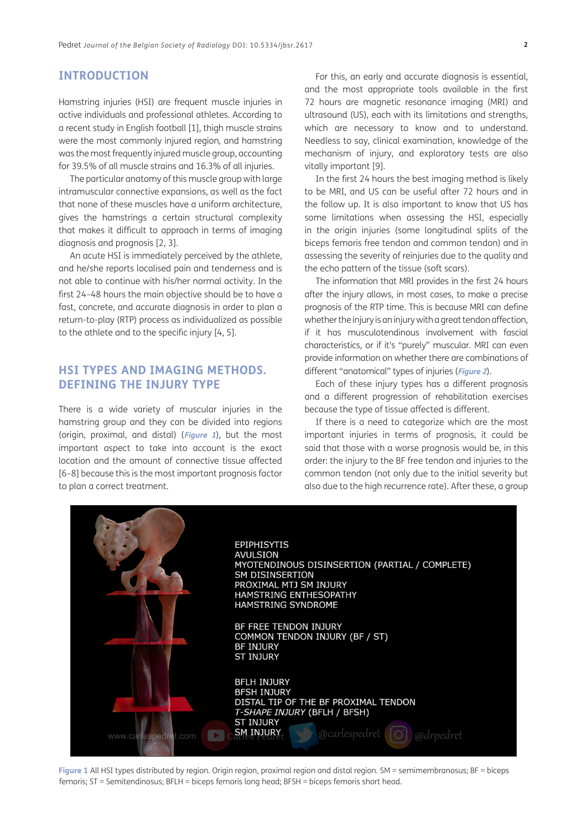#### **INTRODUCTION**

Hamstring injuries (HSI) are frequent muscle injuries in active individuals and professional athletes. According to a recent study in English football [\[1](#page-3-0)], thigh muscle strains were the most commonly injured region, and hamstring was the most frequently injured muscle group, accounting for 39.5% of all muscle strains and 16.3% of all injuries.

The particular anatomy of this muscle group with large intramuscular connective expansions, as well as the fact that none of these muscles have a uniform architecture, gives the hamstrings a certain structural complexity that makes it difficult to approach in terms of imaging diagnosis and prognosis [\[2](#page-3-1), [3\]](#page-3-2).

An acute HSI is immediately perceived by the athlete, and he/she reports localised pain and tenderness and is not able to continue with his/her normal activity. In the first 24–48 hours the main objective should be to have a fast, concrete, and accurate diagnosis in order to plan a return-to-play (RTP) process as individualized as possible to the athlete and to the specific injury [\[4](#page-3-3), [5\]](#page-3-4).

#### **HSI TYPES AND IMAGING METHODS. DEFINING THE INJURY TYPE**

There is a wide variety of muscular injuries in the hamstring group and they can be divided into regions (origin, proximal, and distal) (**[Figure 1](#page-1-0)**), but the most important aspect to take into account is the exact location and the amount of connective tissue affected [\[6–](#page-3-5)[8](#page-3-6)] because this is the most important prognosis factor to plan a correct treatment.

For this, an early and accurate diagnosis is essential, and the most appropriate tools available in the first 72 hours are magnetic resonance imaging (MRI) and ultrasound (US), each with its limitations and strengths, which are necessary to know and to understand. Needless to say, clinical examination, knowledge of the mechanism of injury, and exploratory tests are also vitally important [[9\]](#page-3-7).

In the first 24 hours the best imaging method is likely to be MRI, and US can be useful after 72 hours and in the follow up. It is also important to know that US has some limitations when assessing the HSI, especially in the origin injuries (some longitudinal splits of the biceps femoris free tendon and common tendon) and in assessing the severity of reinjuries due to the quality and the echo pattern of the tissue (soft scars).

The information that MRI provides in the first 24 hours after the injury allows, in most cases, to make a precise prognosis of the RTP time. This is because MRI can define whether the injury is an injury with a great tendon affection, if it has musculotendinous involvement with fascial characteristics, or if it's "purely" muscular. MRI can even provide information on whether there are combinations of different "anatomical" types of injuries (**[Figure 2](#page-2-0)**).

Each of these injury types has a different prognosis and a different progression of rehabilitation exercises because the type of tissue affected is different.

If there is a need to categorize which are the most important injuries in terms of prognosis, it could be said that those with a worse prognosis would be, in this order: the injury to the BF free tendon and injuries to the common tendon (not only due to the initial severity but also due to the high recurrence rate). After these, a group

<span id="page-1-0"></span>

**Figure 1** All HSI types distributed by region. Origin region, proximal region and distal region. SM = semimembranosus; BF = biceps femoris; ST = Semitendinosus; BFLH = biceps femoris long head; BFSH = biceps femoris short head.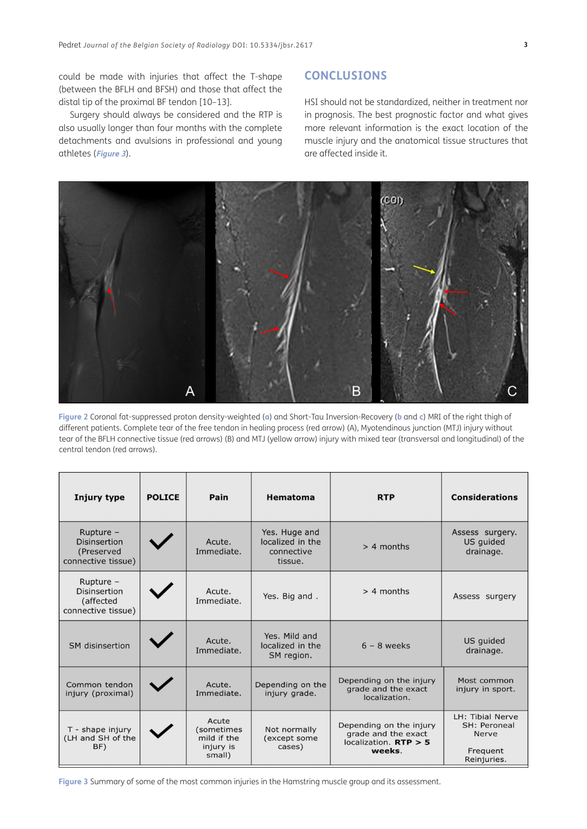could be made with injuries that affect the T-shape (between the BFLH and BFSH) and those that affect the distal tip of the proximal BF tendon [\[10](#page-3-8)–[13](#page-3-9)].

Surgery should always be considered and the RTP is also usually longer than four months with the complete detachments and avulsions in professional and young athletes (**[Figure 3](#page-2-1)**).

#### **CONCLUSIONS**

HSI should not be standardized, neither in treatment nor in prognosis. The best prognostic factor and what gives more relevant information is the exact location of the muscle injury and the anatomical tissue structures that are affected inside it.



<span id="page-2-0"></span>**Figure 2** Coronal fat-suppressed proton density-weighted (**a**) and Short-Tau Inversion-Recovery (**b** and **c**) MRI of the right thigh of different patients. Complete tear of the free tendon in healing process (red arrow) (A), Myotendinous junction (MTJ) injury without tear of the BFLH connective tissue (red arrows) (B) and MTJ (yellow arrow) injury with mixed tear (transversal and longitudinal) of the central tendon (red arrows).

| Injury type                                                           | <b>POLICE</b> | Pain                                                      | Hematoma                                                   | <b>RTP</b>                                                                          | <b>Considerations</b>                                                       |
|-----------------------------------------------------------------------|---------------|-----------------------------------------------------------|------------------------------------------------------------|-------------------------------------------------------------------------------------|-----------------------------------------------------------------------------|
| Rupture $-$<br>Disinsertion<br>(Preserved<br>connective tissue)       |               | Acute.<br>Immediate.                                      | Yes. Huge and<br>localized in the<br>connective<br>tissue. | $> 4$ months                                                                        | Assess surgery.<br>US guided<br>drainage.                                   |
| Rupture $-$<br><b>Disinsertion</b><br>(affected<br>connective tissue) |               | Acute.<br>Immediate.                                      | Yes. Big and.                                              | $> 4$ months                                                                        | Assess surgery                                                              |
| SM disinsertion                                                       |               | Acute.<br>Immediate.                                      | Yes. Mild and<br>localized in the<br>SM region.            | $6 - 8$ weeks                                                                       | US guided<br>drainage.                                                      |
| Common tendon<br>injury (proximal)                                    |               | Acute.<br>Immediate.                                      | Depending on the<br>injury grade.                          | Depending on the injury<br>grade and the exact<br>localization.                     | Most common<br>injury in sport.                                             |
| T - shape injury<br>(LH and SH of the<br>BF)                          |               | Acute<br>(sometimes<br>mild if the<br>injury is<br>small) | Not normally<br>(except some<br>cases)                     | Depending on the injury<br>grade and the exact<br>localization. $RTP > 5$<br>weeks. | LH: Tibial Nerve<br>SH: Peroneal<br><b>Nerve</b><br>Frequent<br>Reinjuries. |

<span id="page-2-1"></span>**Figure 3** Summary of some of the most common injuries in the Hamstring muscle group and its assessment.